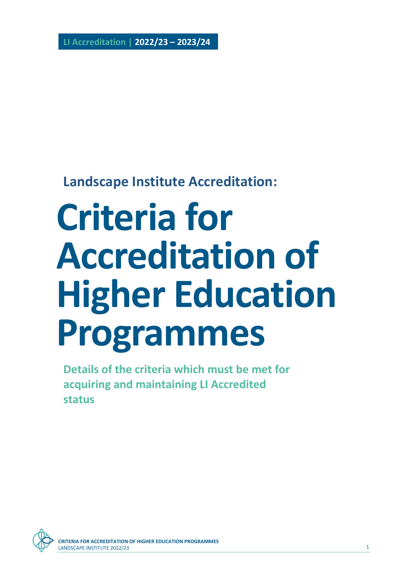**LI Accreditation | 2022/23 – 2023/24**

# **Landscape Institute Accreditation:**

# **Criteria for Accreditation of Higher Education Programmes**

**Details of the criteria which must be met for acquiring and maintaining LI Accredited status** 

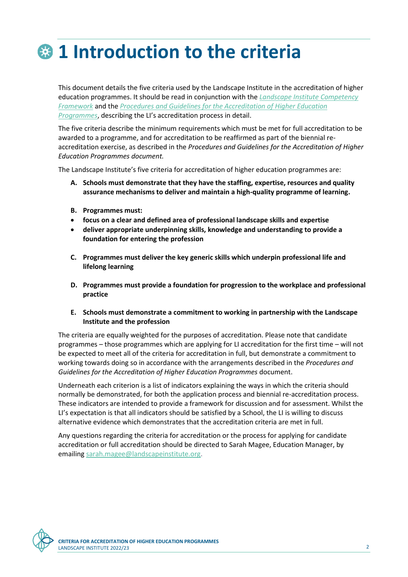# **1 Introduction to the criteria**

This document details the five criteria used by the Landscape Institute in the accreditation of higher education programmes. It should be read in conjunction with the *[Landscape Institute Competency](https://landscapewpstorage01.blob.core.windows.net/www-landscapeinstitute-org/2022/01/220106-12476-entry-standards-competency-framework-update.pdf)  [Framework](https://landscapewpstorage01.blob.core.windows.net/www-landscapeinstitute-org/2022/01/220106-12476-entry-standards-competency-framework-update.pdf)* and the *[Procedures and Guidelines for the Accreditation of Higher Education](https://www.landscapeinstitute.org/education/university-course-accreditation/)  [Programmes](https://www.landscapeinstitute.org/education/university-course-accreditation/)*, describing the LI's accreditation process in detail.

The five criteria describe the minimum requirements which must be met for full accreditation to be awarded to a programme, and for accreditation to be reaffirmed as part of the biennial reaccreditation exercise, as described in the *Procedures and Guidelines for the Accreditation of Higher Education Programmes document.*

The Landscape Institute's five criteria for accreditation of higher education programmes are:

- **A. Schools must demonstrate that they have the staffing, expertise, resources and quality assurance mechanisms to deliver and maintain a high-quality programme of learning.**
- **B. Programmes must:**
- **focus on a clear and defined area of professional landscape skills and expertise**
- **deliver appropriate underpinning skills, knowledge and understanding to provide a foundation for entering the profession**
- **C. Programmes must deliver the key generic skills which underpin professional life and lifelong learning**
- **D. Programmes must provide a foundation for progression to the workplace and professional practice**
- **E. Schools must demonstrate a commitment to working in partnership with the Landscape Institute and the profession**

The criteria are equally weighted for the purposes of accreditation. Please note that candidate programmes – those programmes which are applying for LI accreditation for the first time – will not be expected to meet all of the criteria for accreditation in full, but demonstrate a commitment to working towards doing so in accordance with the arrangements described in the *Procedures and Guidelines for the Accreditation of Higher Education Programmes* document.

Underneath each criterion is a list of indicators explaining the ways in which the criteria should normally be demonstrated, for both the application process and biennial re-accreditation process. These indicators are intended to provide a framework for discussion and for assessment. Whilst the LI's expectation is that all indicators should be satisfied by a School, the LI is willing to discuss alternative evidence which demonstrates that the accreditation criteria are met in full.

Any questions regarding the criteria for accreditation or the process for applying for candidate accreditation or full accreditation should be directed to Sarah Magee, Education Manager, by emailin[g sarah.magee@landscapeinstitute.org.](mailto:sarah.magee@landscapeinstitute.org)

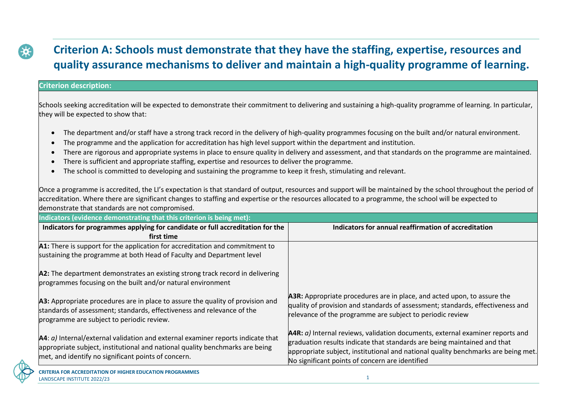### **Criterion A: Schools must demonstrate that they have the staffing, expertise, resources and quality assurance mechanisms to deliver and maintain a high-quality programme of learning.**

#### **Criterion description:**

Schools seeking accreditation will be expected to demonstrate their commitment to delivering and sustaining a high-quality programme of learning. In particular, they will be expected to show that:

- The department and/or staff have a strong track record in the delivery of high-quality programmes focusing on the built and/or natural environment.
- The programme and the application for accreditation has high level support within the department and institution.
- There are rigorous and appropriate systems in place to ensure quality in delivery and assessment, and that standards on the programme are maintained.
- There is sufficient and appropriate staffing, expertise and resources to deliver the programme.
- The school is committed to developing and sustaining the programme to keep it fresh, stimulating and relevant.

Once a programme is accredited, the LI's expectation is that standard of output, resources and support will be maintained by the school throughout the period of accreditation. Where there are significant changes to staffing and expertise or the resources allocated to a programme, the school will be expected to demonstrate that standards are not compromised.

| Indicators (evidence demonstrating that this criterion is being met):                                                                                                                                                     |                                                                                                                                                                                                                                                                                                    |
|---------------------------------------------------------------------------------------------------------------------------------------------------------------------------------------------------------------------------|----------------------------------------------------------------------------------------------------------------------------------------------------------------------------------------------------------------------------------------------------------------------------------------------------|
| Indicators for programmes applying for candidate or full accreditation for the                                                                                                                                            | Indicators for annual reaffirmation of accreditation                                                                                                                                                                                                                                               |
| first time                                                                                                                                                                                                                |                                                                                                                                                                                                                                                                                                    |
| A1: There is support for the application for accreditation and commitment to                                                                                                                                              |                                                                                                                                                                                                                                                                                                    |
| sustaining the programme at both Head of Faculty and Department level                                                                                                                                                     |                                                                                                                                                                                                                                                                                                    |
| A2: The department demonstrates an existing strong track record in delivering<br>programmes focusing on the built and/or natural environment                                                                              |                                                                                                                                                                                                                                                                                                    |
| A3: Appropriate procedures are in place to assure the quality of provision and<br>standards of assessment; standards, effectiveness and relevance of the<br>programme are subject to periodic review.                     | A3R: Appropriate procedures are in place, and acted upon, to assure the<br>quality of provision and standards of assessment; standards, effectiveness and<br>relevance of the programme are subject to periodic review                                                                             |
| $A4: a$ ) Internal/external validation and external examiner reports indicate that<br>appropriate subject, institutional and national quality benchmarks are being<br>met, and identify no significant points of concern. | $A4R: a$ Internal reviews, validation documents, external examiner reports and<br>graduation results indicate that standards are being maintained and that<br>appropriate subject, institutional and national quality benchmarks are being met.<br>No significant points of concern are identified |
| <b>CRITERIA FOR ACCREDITATION OF HIGHER EDUCATION PROGRAMMES</b>                                                                                                                                                          |                                                                                                                                                                                                                                                                                                    |

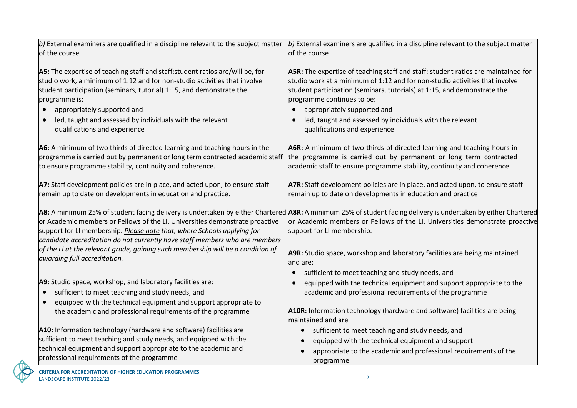| $ b $ External examiners are qualified in a discipline relevant to the subject matter<br>$\vert$ b) External examiners are qualified in a discipline relevant to the subject matter                                                                                                                                                                                                                                               |
|-----------------------------------------------------------------------------------------------------------------------------------------------------------------------------------------------------------------------------------------------------------------------------------------------------------------------------------------------------------------------------------------------------------------------------------|
| of the course                                                                                                                                                                                                                                                                                                                                                                                                                     |
| A5R: The expertise of teaching staff and staff: student ratios are maintained for<br>studio work at a minimum of 1:12 and for non-studio activities that involve<br>student participation (seminars, tutorials) at 1:15, and demonstrate the<br>programme continues to be:<br>appropriately supported and<br>$\bullet$<br>led, taught and assessed by individuals with the relevant<br>$\bullet$<br>qualifications and experience |
| A6R: A minimum of two thirds of directed learning and teaching hours in<br>the programme is carried out by permanent or long term contracted<br>programme is carried out by permanent or long term contracted academic staff<br>academic staff to ensure programme stability, continuity and coherence.                                                                                                                           |
| A7R: Staff development policies are in place, and acted upon, to ensure staff<br>remain up to date on developments in education and practice                                                                                                                                                                                                                                                                                      |
| A8: A minimum 25% of student facing delivery is undertaken by either Chartered A8R: A minimum 25% of student facing delivery is undertaken by either Chartered<br>or Academic members or Fellows of the LI. Universities demonstrate proactive<br>support for LI membership.<br>A9R: Studio space, workshop and laboratory facilities are being maintained                                                                        |
| land are:                                                                                                                                                                                                                                                                                                                                                                                                                         |
| sufficient to meet teaching and study needs, and<br>$\bullet$<br>equipped with the technical equipment and support appropriate to the<br>academic and professional requirements of the programme                                                                                                                                                                                                                                  |
| A10R: Information technology (hardware and software) facilities are being<br>maintained and are                                                                                                                                                                                                                                                                                                                                   |
| sufficient to meet teaching and study needs, and<br>$\bullet$<br>equipped with the technical equipment and support<br>appropriate to the academic and professional requirements of the<br>$\bullet$<br>programme                                                                                                                                                                                                                  |
| candidate accreditation do not currently have staff members who are members                                                                                                                                                                                                                                                                                                                                                       |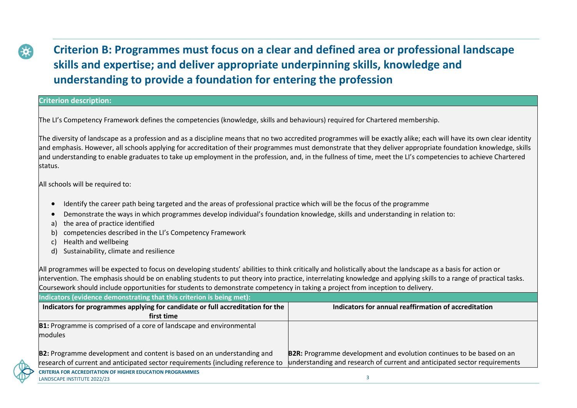# **Criterion B: Programmes must focus on a clear and defined area or professional landscape skills and expertise; and deliver appropriate underpinning skills, knowledge and understanding to provide a foundation for entering the profession**

#### **Criterion description:**

The LI's Competency Framework defines the competencies (knowledge, skills and behaviours) required for Chartered membership.

The diversity of landscape as a profession and as a discipline means that no two accredited programmes will be exactly alike; each will have its own clear identity and emphasis. However, all schools applying for accreditation of their programmes must demonstrate that they deliver appropriate foundation knowledge, skills and understanding to enable graduates to take up employment in the profession, and, in the fullness of time, meet the LI's competencies to achieve Chartered status.

All schools will be required to:

- Identify the career path being targeted and the areas of professional practice which will be the focus of the programme
- Demonstrate the ways in which programmes develop individual's foundation knowledge, skills and understanding in relation to:
- a) the area of practice identified
- b) competencies described in the LI's Competency Framework
- Health and wellbeing
- d) Sustainability, climate and resilience

All programmes will be expected to focus on developing students' abilities to think critically and holistically about the landscape as a basis for action or intervention. The emphasis should be on enabling students to put theory into practice, interrelating knowledge and applying skills to a range of practical tasks. Coursework should include opportunities for students to demonstrate competency in taking a project from inception to delivery.

| Indicators (evidence demonstrating that this criterion is being met): |  |  |
|-----------------------------------------------------------------------|--|--|
|                                                                       |  |  |

| Indicators for programmes applying for candidate or full accreditation for the  | Indicators for annual reaffirmation of accreditation                        |
|---------------------------------------------------------------------------------|-----------------------------------------------------------------------------|
| first time                                                                      |                                                                             |
| <b>B1:</b> Programme is comprised of a core of landscape and environmental      |                                                                             |
| modules                                                                         |                                                                             |
|                                                                                 |                                                                             |
| B2: Programme development and content is based on an understanding and          | <b>B2R:</b> Programme development and evolution continues to be based on an |
| research of current and anticipated sector requirements (including reference to | understanding and research of current and anticipated sector requirements   |
| <b>CRITERIA FOR ACCREDITATION OF HIGHER EDUCATION PROGRAMMES</b>                |                                                                             |
| LANDSCAPE INSTITUTE 2022/23                                                     |                                                                             |

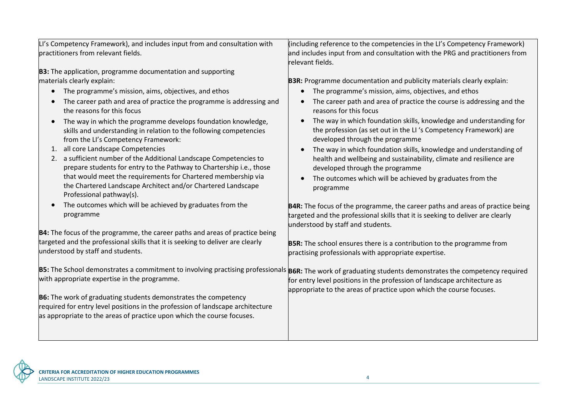| LI's Competency Framework), and includes input from and consultation with                                                                                                                                                          | (including reference to the competencies in the LI's Competency Framework)                                                                                                                                  |
|------------------------------------------------------------------------------------------------------------------------------------------------------------------------------------------------------------------------------------|-------------------------------------------------------------------------------------------------------------------------------------------------------------------------------------------------------------|
| practitioners from relevant fields.                                                                                                                                                                                                | and includes input from and consultation with the PRG and practitioners from                                                                                                                                |
|                                                                                                                                                                                                                                    | relevant fields.                                                                                                                                                                                            |
| <b>B3:</b> The application, programme documentation and supporting                                                                                                                                                                 |                                                                                                                                                                                                             |
| materials clearly explain:                                                                                                                                                                                                         | <b>B3R:</b> Programme documentation and publicity materials clearly explain:                                                                                                                                |
| The programme's mission, aims, objectives, and ethos                                                                                                                                                                               | The programme's mission, aims, objectives, and ethos                                                                                                                                                        |
| The career path and area of practice the programme is addressing and<br>the reasons for this focus                                                                                                                                 | The career path and area of practice the course is addressing and the<br>reasons for this focus                                                                                                             |
| The way in which the programme develops foundation knowledge,<br>$\bullet$<br>skills and understanding in relation to the following competencies<br>from the LI's Competency Framework:                                            | The way in which foundation skills, knowledge and understanding for<br>the profession (as set out in the LI's Competency Framework) are<br>developed through the programme                                  |
| 1. all core Landscape Competencies<br>2. a sufficient number of the Additional Landscape Competencies to<br>prepare students for entry to the Pathway to Chartership i.e., those                                                   | The way in which foundation skills, knowledge and understanding of<br>health and wellbeing and sustainability, climate and resilience are<br>developed through the programme                                |
| that would meet the requirements for Chartered membership via<br>the Chartered Landscape Architect and/or Chartered Landscape<br>Professional pathway(s).                                                                          | The outcomes which will be achieved by graduates from the<br>programme                                                                                                                                      |
| The outcomes which will be achieved by graduates from the<br>programme                                                                                                                                                             | <b>B4R:</b> The focus of the programme, the career paths and areas of practice being<br>targeted and the professional skills that it is seeking to deliver are clearly<br>understood by staff and students. |
| B4: The focus of the programme, the career paths and areas of practice being                                                                                                                                                       |                                                                                                                                                                                                             |
| targeted and the professional skills that it is seeking to deliver are clearly<br>understood by staff and students.                                                                                                                | <b>B5R:</b> The school ensures there is a contribution to the programme from<br>practising professionals with appropriate expertise.                                                                        |
| B5: The School demonstrates a commitment to involving practising professionals B6R: The work of graduating students demonstrates the competency required<br>with appropriate expertise in the programme.                           | for entry level positions in the profession of landscape architecture as<br>appropriate to the areas of practice upon which the course focuses.                                                             |
| <b>B6:</b> The work of graduating students demonstrates the competency<br>required for entry level positions in the profession of landscape architecture<br>as appropriate to the areas of practice upon which the course focuses. |                                                                                                                                                                                                             |
|                                                                                                                                                                                                                                    |                                                                                                                                                                                                             |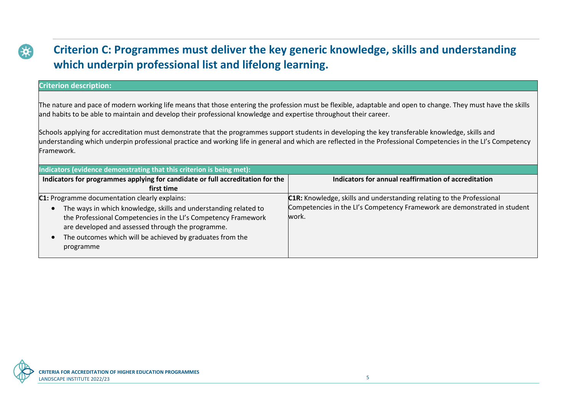

#### **Criterion description:**

The nature and pace of modern working life means that those entering the profession must be flexible, adaptable and open to change. They must have the skills and habits to be able to maintain and develop their professional knowledge and expertise throughout their career.

Schools applying for accreditation must demonstrate that the programmes support students in developing the key transferable knowledge, skills and understanding which underpin professional practice and working life in general and which are reflected in the Professional Competencies in the LI's Competency Framework.

| Indicators (evidence demonstrating that this criterion is being met):                                                                                                                                                                                                                                              |                                                                                                                                                             |  |
|--------------------------------------------------------------------------------------------------------------------------------------------------------------------------------------------------------------------------------------------------------------------------------------------------------------------|-------------------------------------------------------------------------------------------------------------------------------------------------------------|--|
| Indicators for programmes applying for candidate or full accreditation for the                                                                                                                                                                                                                                     | Indicators for annual reaffirmation of accreditation                                                                                                        |  |
| first time                                                                                                                                                                                                                                                                                                         |                                                                                                                                                             |  |
| C1: Programme documentation clearly explains:<br>The ways in which knowledge, skills and understanding related to<br>the Professional Competencies in the LI's Competency Framework<br>are developed and assessed through the programme.<br>The outcomes which will be achieved by graduates from the<br>programme | C1R: Knowledge, skills and understanding relating to the Professional<br>Competencies in the LI's Competency Framework are demonstrated in student<br>work. |  |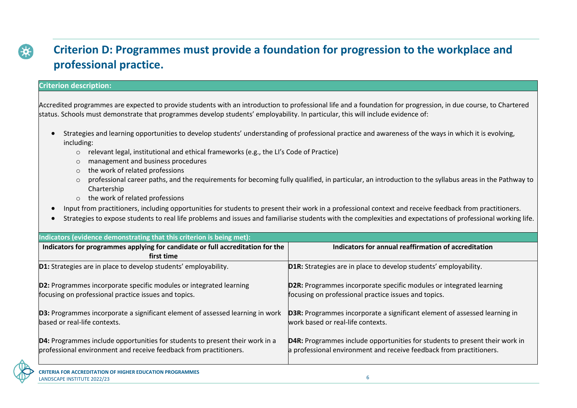

#### **Criterion description:**

Accredited programmes are expected to provide students with an introduction to professional life and a foundation for progression, in due course, to Chartered status. Schools must demonstrate that programmes develop students' employability. In particular, this will include evidence of:

- Strategies and learning opportunities to develop students' understanding of professional practice and awareness of the ways in which it is evolving, including:
	- o relevant legal, institutional and ethical frameworks (e.g., the LI's Code of Practice)
	- o management and business procedures
	- o the work of related professions
	- $\circ$  professional career paths, and the requirements for becoming fully qualified, in particular, an introduction to the syllabus areas in the Pathway to Chartership
	- o the work of related professions
- Input from practitioners, including opportunities for students to present their work in a professional context and receive feedback from practitioners.
- Strategies to expose students to real life problems and issues and familiarise students with the complexities and expectations of professional working life.

| Indicators (evidence demonstrating that this criterion is being met):                                                                             |                                                                                                                                                    |
|---------------------------------------------------------------------------------------------------------------------------------------------------|----------------------------------------------------------------------------------------------------------------------------------------------------|
| Indicators for programmes applying for candidate or full accreditation for the                                                                    | Indicators for annual reaffirmation of accreditation                                                                                               |
| first time                                                                                                                                        |                                                                                                                                                    |
| <b>D1:</b> Strategies are in place to develop students' employability.                                                                            | <b>D1R:</b> Strategies are in place to develop students' employability.                                                                            |
| <b>D2:</b> Programmes incorporate specific modules or integrated learning<br>focusing on professional practice issues and topics.                 | <b>D2R:</b> Programmes incorporate specific modules or integrated learning<br>focusing on professional practice issues and topics.                 |
| <b>D3:</b> Programmes incorporate a significant element of assessed learning in work<br>based or real-life contexts.                              | <b>D3R:</b> Programmes incorporate a significant element of assessed learning in<br>work based or real-life contexts.                              |
| D4: Programmes include opportunities for students to present their work in a<br>professional environment and receive feedback from practitioners. | D4R: Programmes include opportunities for students to present their work in<br>a professional environment and receive feedback from practitioners. |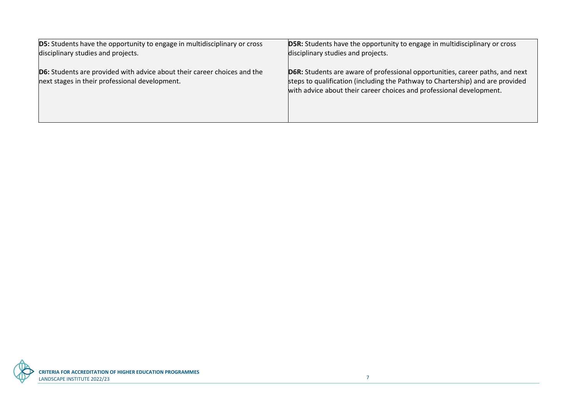| <b>D5:</b> Students have the opportunity to engage in multidisciplinary or cross                                                  | <b>D5R:</b> Students have the opportunity to engage in multidisciplinary or cross                                                                                                                                                              |
|-----------------------------------------------------------------------------------------------------------------------------------|------------------------------------------------------------------------------------------------------------------------------------------------------------------------------------------------------------------------------------------------|
| disciplinary studies and projects.                                                                                                | disciplinary studies and projects.                                                                                                                                                                                                             |
| <b>D6:</b> Students are provided with advice about their career choices and the<br>next stages in their professional development. | <b>D6R:</b> Students are aware of professional opportunities, career paths, and next<br>steps to qualification (including the Pathway to Chartership) and are provided<br>with advice about their career choices and professional development. |

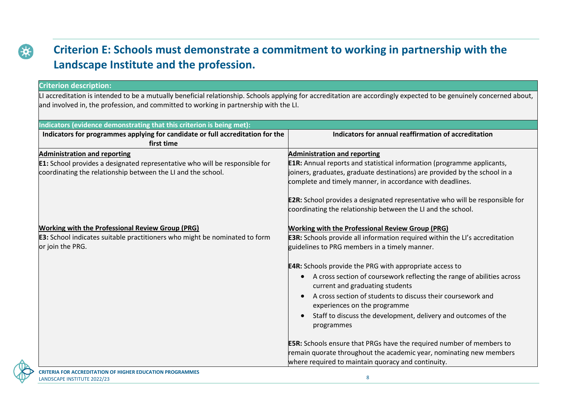

# **Criterion E: Schools must demonstrate a commitment to working in partnership with the Landscape Institute and the profession.**

#### **Criterion description:**

LI accreditation is intended to be a mutually beneficial relationship. Schools applying for accreditation are accordingly expected to be genuinely concerned about, and involved in, the profession, and committed to working in partnership with the LI.

| Indicators (evidence demonstrating that this criterion is being met):                                                                                                                     |                                                                                                                                                                                                                                                                                                                                                                                                                                                                                                                                                              |
|-------------------------------------------------------------------------------------------------------------------------------------------------------------------------------------------|--------------------------------------------------------------------------------------------------------------------------------------------------------------------------------------------------------------------------------------------------------------------------------------------------------------------------------------------------------------------------------------------------------------------------------------------------------------------------------------------------------------------------------------------------------------|
| Indicators for programmes applying for candidate or full accreditation for the<br>first time                                                                                              | Indicators for annual reaffirmation of accreditation                                                                                                                                                                                                                                                                                                                                                                                                                                                                                                         |
| <b>Administration and reporting</b><br><b>E1:</b> School provides a designated representative who will be responsible for<br>coordinating the relationship between the LI and the school. | <b>Administration and reporting</b><br><b>E1R:</b> Annual reports and statistical information (programme applicants,<br>joiners, graduates, graduate destinations) are provided by the school in a<br>complete and timely manner, in accordance with deadlines.<br><b>E2R:</b> School provides a designated representative who will be responsible for<br>coordinating the relationship between the LI and the school.                                                                                                                                       |
| <b>Working with the Professional Review Group (PRG)</b><br><b>E3:</b> School indicates suitable practitioners who might be nominated to form<br>or join the PRG.                          | <b>Working with the Professional Review Group (PRG)</b><br><b>E3R:</b> Schools provide all information required within the LI's accreditation<br>guidelines to PRG members in a timely manner.<br><b>E4R:</b> Schools provide the PRG with appropriate access to<br>A cross section of coursework reflecting the range of abilities across<br>current and graduating students<br>A cross section of students to discuss their coursework and<br>experiences on the programme<br>Staff to discuss the development, delivery and outcomes of the<br>programmes |
|                                                                                                                                                                                           | <b>E5R:</b> Schools ensure that PRGs have the required number of members to<br>remain quorate throughout the academic year, nominating new members<br>where required to maintain quoracy and continuity.                                                                                                                                                                                                                                                                                                                                                     |

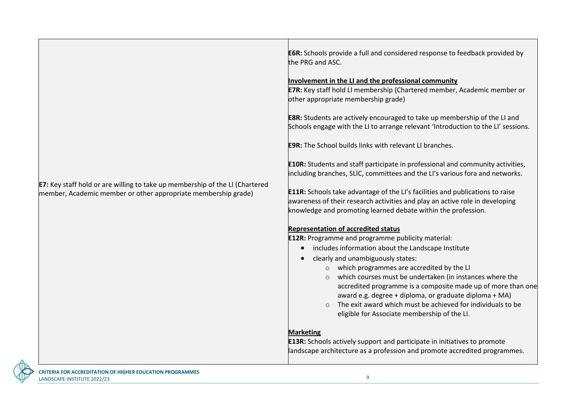|                                                                                                                                                       | <b>E6R:</b> Schools provide a full and considered response to feedback provided by<br>the PRG and ASC.                                                                                                                                                                                                |
|-------------------------------------------------------------------------------------------------------------------------------------------------------|-------------------------------------------------------------------------------------------------------------------------------------------------------------------------------------------------------------------------------------------------------------------------------------------------------|
|                                                                                                                                                       | Involvement in the LI and the professional community                                                                                                                                                                                                                                                  |
|                                                                                                                                                       | <b>E7R:</b> Key staff hold LI membership (Chartered member, Academic member or<br>other appropriate membership grade)                                                                                                                                                                                 |
|                                                                                                                                                       | <b>E8R:</b> Students are actively encouraged to take up membership of the LI and<br>Schools engage with the LI to arrange relevant 'Introduction to the LI' sessions.                                                                                                                                 |
|                                                                                                                                                       | <b>E9R:</b> The School builds links with relevant LI branches.                                                                                                                                                                                                                                        |
|                                                                                                                                                       | <b>E10R:</b> Students and staff participate in professional and community activities,<br>including branches, SLIC, committees and the LI's various fora and networks.                                                                                                                                 |
| <b>E7:</b> Key staff hold or are willing to take up membership of the LI (Chartered<br>member, Academic member or other appropriate membership grade) | <b>E11R:</b> Schools take advantage of the LI's facilities and publications to raise<br>awareness of their research activities and play an active role in developing<br>knowledge and promoting learned debate within the profession.                                                                 |
|                                                                                                                                                       | <b>Representation of accredited status</b>                                                                                                                                                                                                                                                            |
|                                                                                                                                                       | <b>E12R:</b> Programme and programme publicity material:                                                                                                                                                                                                                                              |
|                                                                                                                                                       | includes information about the Landscape Institute<br>$\bullet$                                                                                                                                                                                                                                       |
|                                                                                                                                                       | clearly and unambiguously states:                                                                                                                                                                                                                                                                     |
|                                                                                                                                                       | o which programmes are accredited by the LI                                                                                                                                                                                                                                                           |
|                                                                                                                                                       | o which courses must be undertaken (in instances where the<br>accredited programme is a composite made up of more than one<br>award e.g. degree + diploma, or graduate diploma + MA)<br>o The exit award which must be achieved for individuals to be<br>eligible for Associate membership of the LI. |
|                                                                                                                                                       | <b>Marketing</b>                                                                                                                                                                                                                                                                                      |
|                                                                                                                                                       | <b>E13R:</b> Schools actively support and participate in initiatives to promote<br>landscape architecture as a profession and promote accredited programmes.                                                                                                                                          |